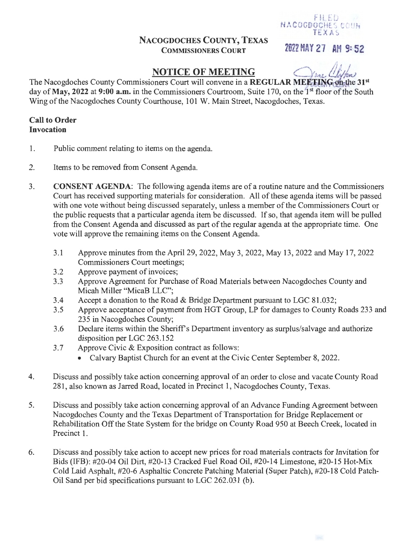## NACOGDOCHES COUNTY, TEXAS COMMISSIONERS COURT

2022 MAY 27 AH 9: 52

 $F11.5D$ **NACOGDOCHES COUN**  $TEXAS$ 

# **NOTICE OF MEETING**

The Nacogdoches County Commissioners Court will convene in a REGULAR MEETING on the 31st day of May, 2022 at 9:00 a.m. in the Commissioners Courtroom, Suite 170, on the <sup>1st</sup> floor of the South Wing of the Nacogdoches County Courthouse, 101 W. Main Street, Nacogdoches, Texas.

### Call to Order Invocation

- 1. Public comment relating to items on the agenda.
- 2. Items to be removed from Consent Agenda.
- 3. CONSENT AGENDA: The following agenda items are of a routine nature and the Commissioners Court has received supporting materials for consideration. All of these agenda items will be passed with one vote without being discussed separately, unless a member of the Commissioners Court or the public requests that a particular agenda item be discussed. If so, that agenda item will be pulled from the Consent Agenda and discussed as part of the regular agenda at the appropriate time. One vote will approve the remaining items on the Consent Agenda.
	- 3.1 Approve minutes from the April 29, 2022, May 3, 2022, May 13, 2022 and May 17, 2022 Commissioners Court meetings;
	- 3.2 Approve payment of invoices;
	- 3.3 Approve Agreement for Purchase of Road Materials between Nacogdoches County and Micah Miller "MicaB LLC";
	- 3.4 Accept a donation to the Road & Bridge Department pursuant to LGC 81.032;
	- 3.5 Approve acceptance of payment from HGT Group, LP for damages to County Roads 233 and 235 in Nacogdoches County;
	- 3.6 Declare items within the Sheriff's Department inventory as surplus/salvage and authorize disposition per LGC 263.152
	- 3.7 Approve Civic & Exposition contract as follows:
		- Calvary Baptist Church for an event at the Civic Center September 8, 2022.
- 4. Discuss and possibly take action concerning approval of an order to close and vacate County Road 281, also known as Jarred Road, located in Precinct 1, Nacogdoches County, Texas.
- 5. Discuss and possibly take action concerning approval of an Advance Funding Agreement between Nacogdoches County and the Texas Department of Transportation for Bridge Replacement or Rehabilitation Off the State System for the bridge on County Road 950 at Beech Creek, located in Precinct 1.
- 6. Discuss and possibly take action to accept new prices for road materials contracts for Invitation for Bids (IFB): #20-04 Oil Dirt, #20-13 Cracked Fuel Road Oil, #20-14 Limestone, #20-15 Hot-Mix Cold Laid Asphalt, #20-6 Asphaltic Concrete Patching Material (Super Patch), #20-18 Cold Patch-Oil Sand per bid specifications pursuant to LGC 262.031 (b).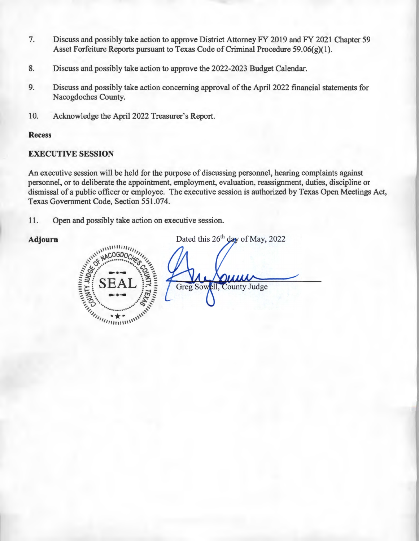- 7. Discuss and possibly take action to approve District Attorney FY 2019 and FY 2021 Chapter 59 Asset Forfeiture Reports pursuant to Texas Code of Criminal Procedure 59.06(g)(1).
- 8. Discuss and possibly take action to approve the 2022-2023 Budget Calendar.
- 9. Discuss and possibly take action concerning approval of the April2022 financial statements for Nacogdoches County.
- 10. Acknowledge the April 2022 Treasurer's Report.

#### **Recess**

#### **EXECUTIVE SESSION**

An executive session will be held for the purpose of discussing personnel, hearing complaints against personnel, or to deliberate the appointment, employment, evaluation, reassignment, duties, discipline or dismissal of a public officer or employee. The executive session is authorized by Texas Open Meetings Act, Texas Government Code, Section 551.074.

11. Open and possibly take action on executive session.



Adjourn Dated this 26<sup>th</sup> day of May, 2022 Greg Sowell, County Judge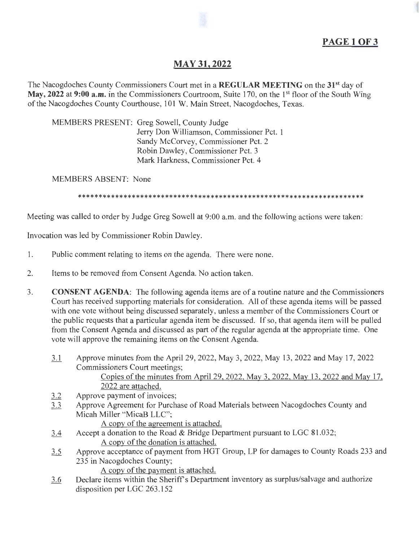# **MAY31, 2022**

The Nacogdoches County Commissioners Court met in a **REGULAR MEETING** on the 31st day of May, 2022 at 9:00 **a.m.** in the Commissioners Courtroom, Suite 170, on the 1<sup>st</sup> floor of the South Wing of the Nacogdoches County Courthouse, 101 W. Main Street, Nacogdoches, Texas.

MEMBERS PRESENT: Greg Sowell, County Judge Jerry Don Williamson, Commissioner Pet. 1 Sandy McCorvey, Commissioner Pet. 2 Robin Dawley, Commissioner Pet. 3 Mark Harkness, Commissioner Pet. 4

MEMBERS ABSENT: None

\*\*\*\*\*\*\*\*\*\*\*\*\*\*\*\*\*\*\*\*\*\*\*\*\*\*\*\*\*\*\*\*\*\*\*\*\*\*\*\*\*\*\*\*\*\*\*\*\*\*\*\*\*\*\*\*\*\*\*\*\*\*\*\*\*\*\*\*\*

Meeting was called to order by Judge Greg Sowell at 9:00 a.m. and the following actions were taken:

Invocation was led by Commissioner Robin Dawley.

- 1. Public comment relating to items on the agenda. There were none.
- 2. Items to be removed from Consent Agenda. No action taken.
- 3. **CONSENT AGENDA:** The following agenda items are of a routine nature and the Commissioners Court has received supporting materials for consideration. All of these agenda items will be passed with one vote without being discussed separately, unless a member of the Commissioners Court or the public requests that a particular agenda item be discussed. If so, that agenda item will be pulled from the Consent Agenda and discussed as part of the regular agenda at the appropriate time. One vote will approve the remaining items on the Consent Agenda.
	- 11 Approve minutes from the Apri129, 2022, May 3, 2022, May 13, 2022 and May 17, 2022 Commissioners Court meetings; Copies of the minutes from April 29, 2022, May 3, 2022, May 13, 2022 and May 17, 2022 are attached. 3.2 Approve payment of invoices;
	- 3.3 Approve Agreement for Purchase of Road Materials between Nacogdoches County and Micah Miller "MicaB LLC";

A copy of the agreement is attached.

- 3.4 Accept a donation to the Road & Bridge Department pursuant to LGC 81.032; A copy of the donation is attached.
- 3.5 Approve acceptance of payment from HGT Group, LP for damages to County Roads 233 and 235 in Nacogdoches County;

A copy of the payment is attached.

3.6 Declare items within the Sheriff's Department inventory as surplus/salvage and authorize disposition per LGC 263.152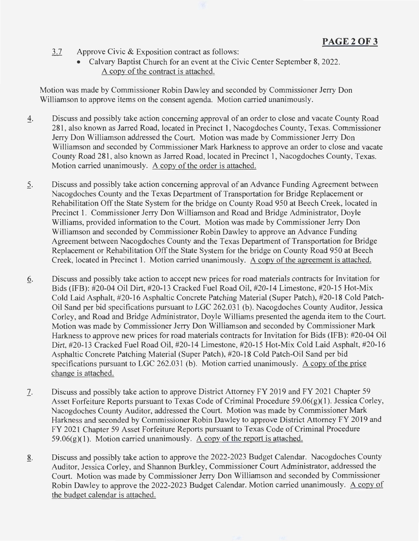- 3.7 Approve Civic & Exposition contract as follows:
	- Calvary Baptist Church for an event at the Civic Center September 8, 2022. A copy of the contract is attached.

Motion was made by Commissioner Robin Dawley and seconded by Commissioner Jerry Don Williamson to approve items on the consent agenda. Motion carried unanimously.

- 4. Discuss and possibly take action concerning approval of an order to close and vacate County Road 281 , also known as Jarred Road, located in Precinct 1, Nacogdoches County, Texas. Commissioner Jerry Don Williamson addressed the Court. Motion was made by Commissioner Jerry Don Williamson and seconded by Commissioner Mark Harkness to approve an order to close and vacate County Road 281, also known as Jarred Road, located in Precinct 1, Nacogdoches County, Texas. Motion carried unanimously. A copy of the order is attached.
- 5. Discuss and possibly take action concerning approval of an Advance Funding Agreement between Nacogdoches County and the Texas Department of Transportation for Bridge Replacement or Rehabilitation Off the State System for the bridge on County Road 950 at Beech Creek, located in Precinct 1. Commissioner Jerry Don Williamson and Road and Bridge Administrator, Doyle Williams, provided information to the Court. Motion was made by Commissioner Jerry Don Williamson and seconded by Commissioner Robin Dawley to approve an Advance Funding Agreement between Nacogdoches County and the Texas Department of Transportation for Bridge Replacement or Rehabilitation Off the State System for the bridge on County Road 950 at Beech Creek, located in Precinct 1. Motion carried unanimously. A copy of the agreement is attached.
- Q. Discuss and possibly take action to accept new prices for road materials contracts for Invitation for Bids (IFB): #20-04 Oil Dirt, #20-13 Cracked Fuel Road Oil, #20-14 Limestone, #20-15 Hot-Mix Cold Laid Asphalt, #20-16 Asphaltic Concrete Patching Material (Super Patch), #20-18 Cold Patch-Oil Sand per bid specifications pursuant to LGC 262.031 (b). Nacogdoches County Auditor, Jessica Corley, and Road and Bridge Administrator, Doyle Williams presented the agenda item to the Court. Motion was made by Commissioner Jerry Don Williamson and seconded by Commissioner Mark Harkness to approve new prices for road materials contracts for Invitation for Bids (IFB): #20-04 Oil Dirt, #20-13 Cracked Fuel Road Oil, #20-14 Limestone, #20-15 Hot-Mix Cold Laid Asphalt, #20-16 Asphaltic Concrete Patching Material (Super Patch), #20-18 Cold Patch-Oil Sand per bid specifications pursuant to LGC 262.031 (b). Motion carried unanimously. A copy of the price change is attached.
- 7. Discuss and possibly take action to approve District Attorney FY 2019 and FY 2021 Chapter 59 Asset Forfeiture Reports pursuant to Texas Code of Criminal Procedure 59.06(g)(1). Jessica Corley, Nacogdoches County Auditor, addressed the Court. Motion was made by Commissioner Mark Harkness and seconded by Commissioner Robin Dawley to approve District Attorney FY 2019 and FY 2021 Chapter 59 Asset Forfeiture Reports pursuant to Texas Code of Criminal Procedure 59.06(g)(1). Motion carried unanimously. A copy of the report is attached.
- .8\_. Discuss and possibly take action to approve the 2022-2023 Budget Calendar. Nacogdoches County Auditor, Jessica Corley, and Shannon Burkley, Commissioner Court Administrator, addressed the Court. Motion was made by Commissioner Jerry Don Williamson and seconded by Commissioner Robin Dawley to approve the 2022-2023 Budget Calendar. Motion carried unanimously. A copy of the budget calendar is attached.